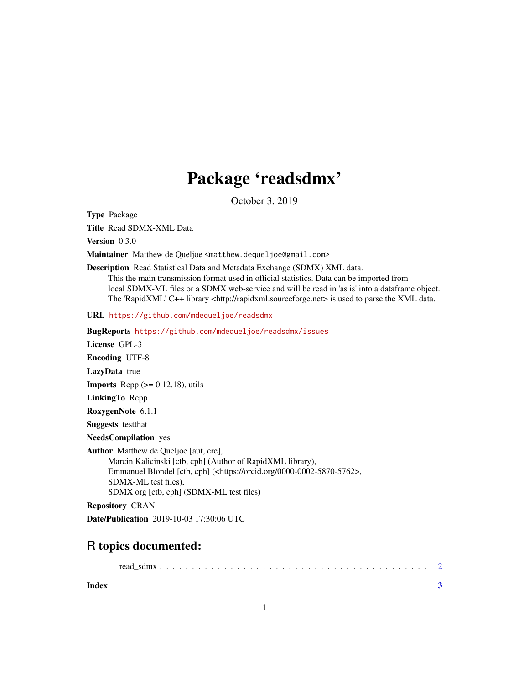## Package 'readsdmx'

October 3, 2019

<span id="page-0-0"></span>Type Package

Title Read SDMX-XML Data

Version 0.3.0

Maintainer Matthew de Queljoe <matthew.dequeljoe@gmail.com>

Description Read Statistical Data and Metadata Exchange (SDMX) XML data. This the main transmission format used in official statistics. Data can be imported from local SDMX-ML files or a SDMX web-service and will be read in 'as is' into a dataframe object. The 'RapidXML' C++ library <http://rapidxml.sourceforge.net> is used to parse the XML data.

URL <https://github.com/mdequeljoe/readsdmx>

| <b>BugReports</b> https://github.com/mdequeljoe/readsdmx/issues                                                                                                                                                                                                          |
|--------------------------------------------------------------------------------------------------------------------------------------------------------------------------------------------------------------------------------------------------------------------------|
| License GPL-3                                                                                                                                                                                                                                                            |
| <b>Encoding UTF-8</b>                                                                                                                                                                                                                                                    |
| <b>LazyData</b> true                                                                                                                                                                                                                                                     |
| <b>Imports</b> Repp $(>= 0.12.18)$ , utils                                                                                                                                                                                                                               |
| <b>LinkingTo</b> Repp                                                                                                                                                                                                                                                    |
| RoxygenNote 6.1.1                                                                                                                                                                                                                                                        |
| <b>Suggests</b> test that                                                                                                                                                                                                                                                |
| <b>NeedsCompilation</b> yes                                                                                                                                                                                                                                              |
| <b>Author</b> Matthew de Queljoe [aut, cre],<br>Marcin Kalicinski [ctb, cph] (Author of RapidXML library),<br>Emmanuel Blondel [ctb, cph] ( <https: 0000-0002-5870-5762="" orcid.org="">,<br/>SDMX-ML test files),<br/>SDMX org [ctb, cph] (SDMX-ML test files)</https:> |
| <b>Repository CRAN</b>                                                                                                                                                                                                                                                   |

Date/Publication 2019-10-03 17:30:06 UTC

### R topics documented:

|--|--|--|--|

**Index** [3](#page-2-0)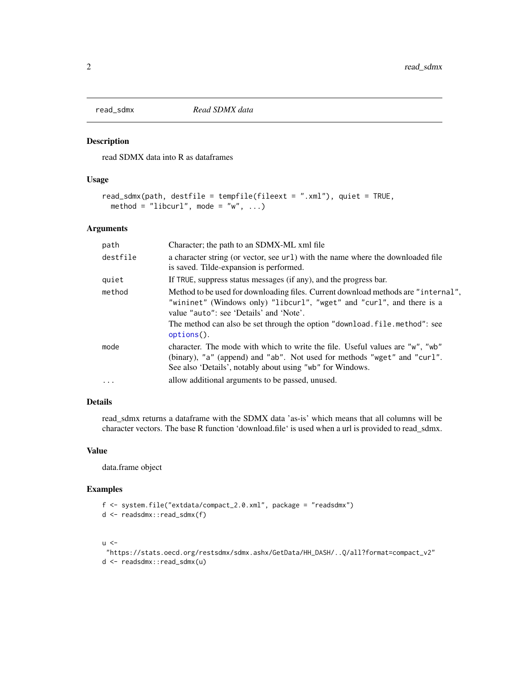<span id="page-1-0"></span>

#### Description

read SDMX data into R as dataframes

#### Usage

```
read_sdmx(path, destfile = tempfile(fileext = ".xml"), quiet = TRUE,
 method = "libcurl", mode = "w", ...)
```
#### Arguments

| path       | Character; the path to an SDMX-ML xml file                                                                                                                                                                                                                                                            |
|------------|-------------------------------------------------------------------------------------------------------------------------------------------------------------------------------------------------------------------------------------------------------------------------------------------------------|
| destfile   | a character string (or vector, see url) with the name where the downloaded file<br>is saved. Tilde-expansion is performed.                                                                                                                                                                            |
| quiet      | If TRUE, suppress status messages (if any), and the progress bar.                                                                                                                                                                                                                                     |
| method     | Method to be used for downloading files. Current download methods are "internal",<br>"wininet" (Windows only) "libcurl", "wget" and "curl", and there is a<br>value "auto": see 'Details' and 'Note'.<br>The method can also be set through the option "download, file, method": see<br>$options()$ . |
| mode       | character. The mode with which to write the file. Useful values are "w", "wb"<br>(binary), "a" (append) and "ab". Not used for methods "wget" and "curl".<br>See also 'Details', notably about using "wb" for Windows.                                                                                |
| $\ddots$ . | allow additional arguments to be passed, unused.                                                                                                                                                                                                                                                      |

#### Details

read\_sdmx returns a dataframe with the SDMX data 'as-is' which means that all columns will be character vectors. The base R function 'download.file' is used when a url is provided to read\_sdmx.

#### Value

data.frame object

#### Examples

```
f <- system.file("extdata/compact_2.0.xml", package = "readsdmx")
d <- readsdmx::read_sdmx(f)
```
 $u < -$ 

```
"https://stats.oecd.org/restsdmx/sdmx.ashx/GetData/HH_DASH/..Q/all?format=compact_v2"
d <- readsdmx::read_sdmx(u)
```